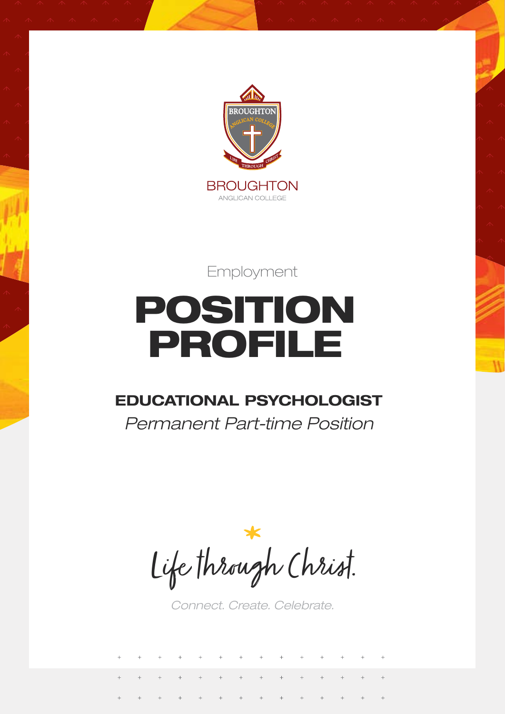

Employment

# POSITION PROFILE

### **EDUCATIONAL PSYCHOLOGIST**

*Permanent Part-time Position*

Life through Christ.

*Connect. Create. Celebrate.*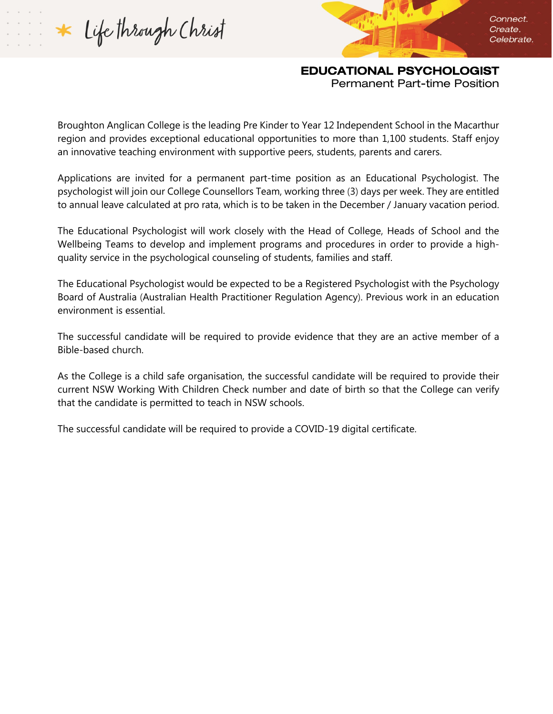Life through Christ

Connect. Create. Celebrate.

### EDUCATIONAL PSYCHOLOGIST

Permanent Part-time Position

Broughton Anglican College is the leading Pre Kinder to Year 12 Independent School in the Macarthur region and provides exceptional educational opportunities to more than 1,100 students. Staff enjoy an innovative teaching environment with supportive peers, students, parents and carers.

Applications are invited for a permanent part-time position as an Educational Psychologist. The psychologist will join our College Counsellors Team, working three (3) days per week. They are entitled to annual leave calculated at pro rata, which is to be taken in the December / January vacation period.

The Educational Psychologist will work closely with the Head of College, Heads of School and the Wellbeing Teams to develop and implement programs and procedures in order to provide a highquality service in the psychological counseling of students, families and staff.

The Educational Psychologist would be expected to be a Registered Psychologist with the Psychology Board of Australia (Australian Health Practitioner Regulation Agency). Previous work in an education environment is essential.

The successful candidate will be required to provide evidence that they are an active member of a Bible-based church.

As the College is a child safe organisation, the successful candidate will be required to provide their current NSW Working With Children Check number and date of birth so that the College can verify that the candidate is permitted to teach in NSW schools.

The successful candidate will be required to provide a COVID-19 digital certificate.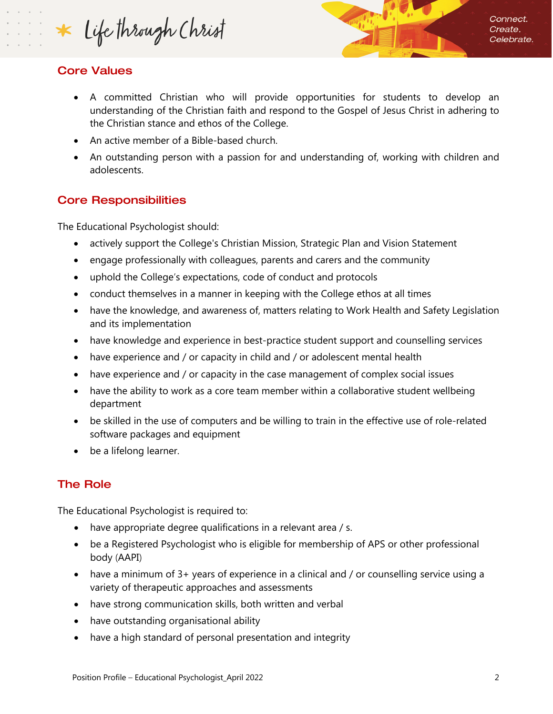Life through Christ

Connect. Create. Celebrate.

#### Core Values

- A committed Christian who will provide opportunities for students to develop an understanding of the Christian faith and respond to the Gospel of Jesus Christ in adhering to the Christian stance and ethos of the College.
- An active member of a Bible-based church.
- An outstanding person with a passion for and understanding of, working with children and adolescents.

#### Core Responsibilities

The Educational Psychologist should:

- actively support the College's Christian Mission, Strategic Plan and Vision Statement
- engage professionally with colleagues, parents and carers and the community
- uphold the College's expectations, code of conduct and protocols
- conduct themselves in a manner in keeping with the College ethos at all times
- have the knowledge, and awareness of, matters relating to Work Health and Safety Legislation and its implementation
- have knowledge and experience in best-practice student support and counselling services
- have experience and / or capacity in child and / or adolescent mental health
- have experience and / or capacity in the case management of complex social issues
- have the ability to work as a core team member within a collaborative student wellbeing department
- be skilled in the use of computers and be willing to train in the effective use of role-related software packages and equipment
- be a lifelong learner.

#### The Role

The Educational Psychologist is required to:

- have appropriate degree qualifications in a relevant area / s.
- be a Registered Psychologist who is eligible for membership of APS or other professional body (AAPI)
- have a minimum of 3+ years of experience in a clinical and / or counselling service using a variety of therapeutic approaches and assessments
- have strong communication skills, both written and verbal
- have outstanding organisational ability
- have a high standard of personal presentation and integrity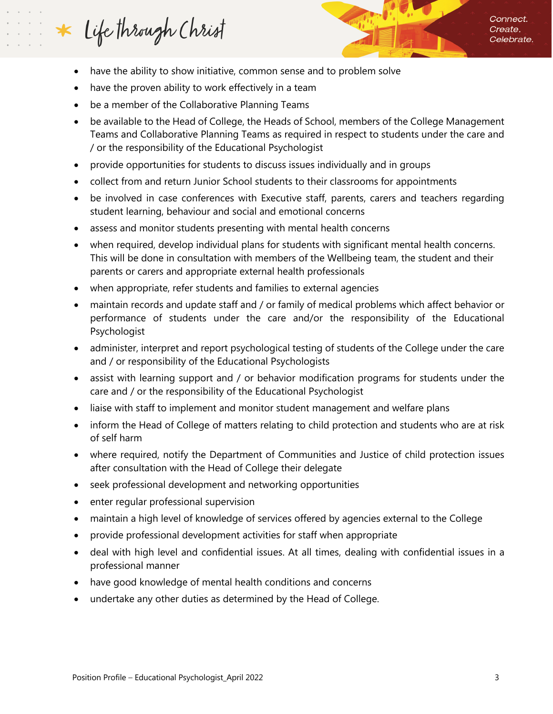## Life through Christ

- have the ability to show initiative, common sense and to problem solve
- have the proven ability to work effectively in a team
- be a member of the Collaborative Planning Teams
- be available to the Head of College, the Heads of School, members of the College Management Teams and Collaborative Planning Teams as required in respect to students under the care and / or the responsibility of the Educational Psychologist
- provide opportunities for students to discuss issues individually and in groups
- collect from and return Junior School students to their classrooms for appointments
- be involved in case conferences with Executive staff, parents, carers and teachers regarding student learning, behaviour and social and emotional concerns
- assess and monitor students presenting with mental health concerns
- when required, develop individual plans for students with significant mental health concerns. This will be done in consultation with members of the Wellbeing team, the student and their parents or carers and appropriate external health professionals
- when appropriate, refer students and families to external agencies
- maintain records and update staff and / or family of medical problems which affect behavior or performance of students under the care and/or the responsibility of the Educational Psychologist
- administer, interpret and report psychological testing of students of the College under the care and / or responsibility of the Educational Psychologists
- assist with learning support and / or behavior modification programs for students under the care and / or the responsibility of the Educational Psychologist
- liaise with staff to implement and monitor student management and welfare plans
- inform the Head of College of matters relating to child protection and students who are at risk of self harm
- where required, notify the Department of Communities and Justice of child protection issues after consultation with the Head of College their delegate
- seek professional development and networking opportunities
- enter regular professional supervision
- maintain a high level of knowledge of services offered by agencies external to the College
- provide professional development activities for staff when appropriate
- deal with high level and confidential issues. At all times, dealing with confidential issues in a professional manner
- have good knowledge of mental health conditions and concerns
- undertake any other duties as determined by the Head of College.